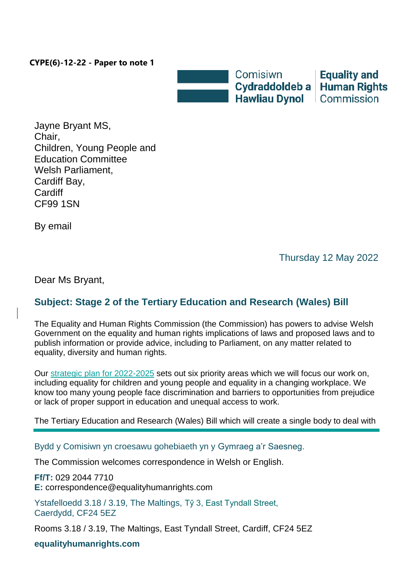## **CYPE(6)-12-22 - Paper to note 1**



**Equality and Human Rights** 

Jayne Bryant MS, Chair, Children, Young People and Education Committee Welsh Parliament, Cardiff Bay, **Cardiff** CF99 1SN

By email

Thursday 12 May 2022

Dear Ms Bryant,

## **Subject: Stage 2 of the Tertiary Education and Research (Wales) Bill**

The Equality and Human Rights Commission (the Commission) has powers to advise Welsh Government on the equality and human rights implications of laws and proposed laws and to publish information or provide advice, including to Parliament, on any matter related to equality, diversity and human rights.

Our [strategic plan for 2022-2025](https://www.equalityhumanrights.com/sites/default/files/about-us-strategic-plan-2022-2025.pdf) sets out six priority areas which we will focus our work on, including equality for children and young people and equality in a changing workplace. We know too many young people face discrimination and barriers to opportunities from prejudice or lack of proper support in education and unequal access to work.

The Tertiary Education and Research (Wales) Bill which will create a single body to deal with

Bydd y Comisiwn yn croesawu gohebiaeth yn y Gymraeg a'r Saesneg.

The Commission welcomes correspondence in Welsh or English.

**Ff/T:** 029 2044 7710 **E:** correspondence@equalityhumanrights.com

Ystafelloedd 3.18 / 3.19, The Maltings, Tŷ 3, East Tyndall Street, Caerdydd, CF24 5EZ

Rooms 3.18 / 3.19, The Maltings, East Tyndall Street, Cardiff, CF24 5EZ

**equalityhumanrights.com**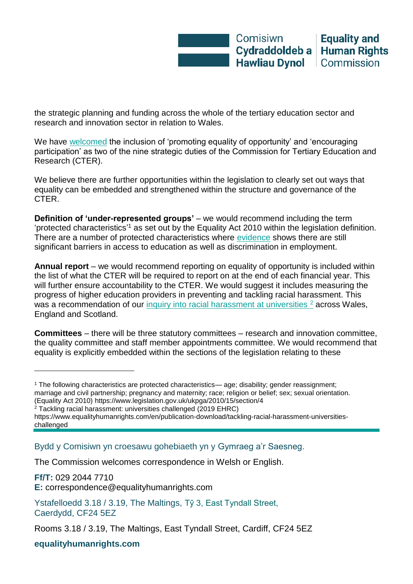the strategic planning and funding across the whole of the tertiary education sector and research and innovation sector in relation to Wales.

We have [welcomed](https://business.senedd.wales/mgConsultationDisplay.aspx?id=436&RPID=1029454618&cp=yes) the inclusion of 'promoting equality of opportunity' and 'encouraging participation' as two of the nine strategic duties of the Commission for Tertiary Education and Research (CTER).

We believe there are further opportunities within the legislation to clearly set out ways that equality can be embedded and strengthened within the structure and governance of the CTER.

**Definition of 'under-represented groups'** – we would recommend including the term 'protected characteristics' <sup>1</sup> as set out by the Equality Act 2010 within the legislation definition. There are a number of protected characteristics where [evidence](https://www.equalityhumanrights.com/sites/default/files/is-britain-fairer-2018-is-wales-fairer.pdf) shows there are still significant barriers in access to education as well as discrimination in employment.

**Annual report** – we would recommend reporting on equality of opportunity is included within the list of what the CTER will be required to report on at the end of each financial year. This will further ensure accountability to the CTER. We would suggest it includes measuring the progress of higher education providers in preventing and tackling racial harassment. This was a recommendation of our [inquiry into racial harassment at universities](https://www.equalityhumanrights.com/sites/default/files/tackling-racial-harassment-universities-challenged.pdf) <sup>2</sup> across Wales, England and Scotland.

**Committees** – there will be three statutory committees – research and innovation committee, the quality committee and staff member appointments committee. We would recommend that equality is explicitly embedded within the sections of the legislation relating to these

- (Equality Act 2010) https://www.legislation.gov.uk/ukpga/2010/15/section/4
- <sup>2</sup> Tackling racial harassment: universities challenged (2019 EHRC)

Bydd y Comisiwn yn croesawu gohebiaeth yn y Gymraeg a'r Saesneg.

The Commission welcomes correspondence in Welsh or English.

**Ff/T:** 029 2044 7710 **E:** correspondence@equalityhumanrights.com

Ystafelloedd 3.18 / 3.19, The Maltings, Tŷ 3, East Tyndall Street, Caerdydd, CF24 5EZ

**equalityhumanrights.com**

l

<sup>1</sup> The following characteristics are protected characteristics— age; disability; gender reassignment; marriage and civil partnership; pregnancy and maternity; race; religion or belief; sex; sexual orientation.

https://www.equalityhumanrights.com/en/publication-download/tackling-racial-harassment-universitieschallenged

Rooms 3.18 / 3.19, The Maltings, East Tyndall Street, Cardiff, CF24 5EZ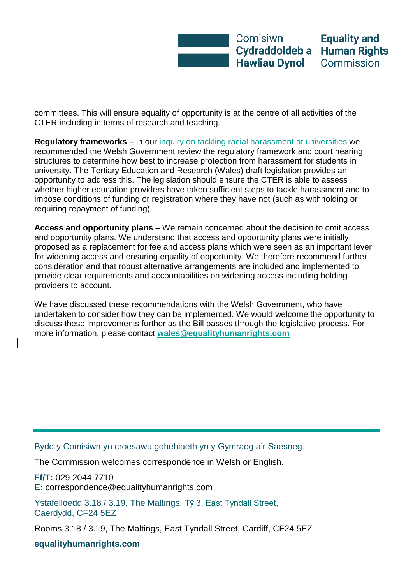

committees. This will ensure equality of opportunity is at the centre of all activities of the CTER including in terms of research and teaching.

**Regulatory frameworks** – in our [inquiry on tackling racial harassment at universities](https://www.equalityhumanrights.com/sites/default/files/tackling-racial-harassment-universities-challenged.pdf) we recommended the Welsh Government review the regulatory framework and court hearing structures to determine how best to increase protection from harassment for students in university. The Tertiary Education and Research (Wales) draft legislation provides an opportunity to address this. The legislation should ensure the CTER is able to assess whether higher education providers have taken sufficient steps to tackle harassment and to impose conditions of funding or registration where they have not (such as withholding or requiring repayment of funding).

**Access and opportunity plans** – We remain concerned about the decision to omit access and opportunity plans. We understand that access and opportunity plans were initially proposed as a replacement for fee and access plans which were seen as an important lever for widening access and ensuring equality of opportunity. We therefore recommend further consideration and that robust alternative arrangements are included and implemented to provide clear requirements and accountabilities on widening access including holding providers to account.

We have discussed these recommendations with the Welsh Government, who have undertaken to consider how they can be implemented. We would welcome the opportunity to discuss these improvements further as the Bill passes through the legislative process. For more information, please contact **[wales@equalityhumanrights.com](mailto:wales@equalityhumanrights.com)**

Bydd y Comisiwn yn croesawu gohebiaeth yn y Gymraeg a'r Saesneg.

The Commission welcomes correspondence in Welsh or English.

**Ff/T:** 029 2044 7710 **E:** correspondence@equalityhumanrights.com

Ystafelloedd 3.18 / 3.19, The Maltings, Tŷ 3, East Tyndall Street, Caerdydd, CF24 5EZ

Rooms 3.18 / 3.19, The Maltings, East Tyndall Street, Cardiff, CF24 5EZ

**equalityhumanrights.com**